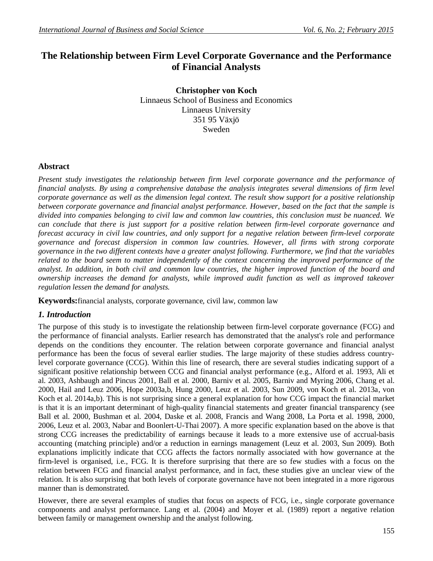# **The Relationship between Firm Level Corporate Governance and the Performance of Financial Analysts**

**Christopher von Koch** Linnaeus School of Business and Economics Linnaeus University 351 95 Växjö Sweden

## **Abstract**

*Present study investigates the relationship between firm level corporate governance and the performance of financial analysts. By using a comprehensive database the analysis integrates several dimensions of firm level corporate governance as well as the dimension legal context. The result show support for a positive relationship between corporate governance and financial analyst performance. However, based on the fact that the sample is divided into companies belonging to civil law and common law countries, this conclusion must be nuanced. We can conclude that there is just support for a positive relation between firm-level corporate governance and forecast accuracy in civil law countries, and only support for a negative relation between firm-level corporate governance and forecast dispersion in common law countries. However, all firms with strong corporate governance in the two different contexts have a greater analyst following. Furthermore, we find that the variables related to the board seem to matter independently of the context concerning the improved performance of the analyst. In addition, in both civil and common law countries, the higher improved function of the board and ownership increases the demand for analysts, while improved audit function as well as improved takeover regulation lessen the demand for analysts.*

**Keywords:**financial analysts, corporate governance, civil law, common law

### *1. Introduction*

The purpose of this study is to investigate the relationship between firm-level corporate governance (FCG) and the performance of financial analysts. Earlier research has demonstrated that the analyst's role and performance depends on the conditions they encounter. The relation between corporate governance and financial analyst performance has been the focus of several earlier studies. The large majority of these studies address countrylevel corporate governance (CCG). Within this line of research, there are several studies indicating support of a significant positive relationship between CCG and financial analyst performance (e.g., Alford et al. 1993, Ali et al. 2003, Ashbaugh and Pincus 2001, Ball et al. 2000, Barniv et al. 2005, Barniv and Myring 2006, Chang et al. 2000, Hail and Leuz 2006, Hope 2003a,b, Hung 2000, Leuz et al. 2003, Sun 2009, von Koch et al. 2013a, von Koch et al. 2014a,b). This is not surprising since a general explanation for how CCG impact the financial market is that it is an important determinant of high-quality financial statements and greater financial transparency (see Ball et al. 2000, Bushman et al. 2004, Daske et al. 2008, Francis and Wang 2008, La Porta et al. 1998, 2000, 2006, Leuz et al. 2003, Nabar and Boonlert-U-Thai 2007). A more specific explanation based on the above is that strong CCG increases the predictability of earnings because it leads to a more extensive use of accrual-basis accounting (matching principle) and/or a reduction in earnings management (Leuz et al. 2003, Sun 2009). Both explanations implicitly indicate that CCG affects the factors normally associated with how governance at the firm-level is organised, i.e., FCG. It is therefore surprising that there are so few studies with a focus on the relation between FCG and financial analyst performance, and in fact, these studies give an unclear view of the relation. It is also surprising that both levels of corporate governance have not been integrated in a more rigorous manner than is demonstrated.

However, there are several examples of studies that focus on aspects of FCG, i.e., single corporate governance components and analyst performance. Lang et al. (2004) and Moyer et al. (1989) report a negative relation between family or management ownership and the analyst following.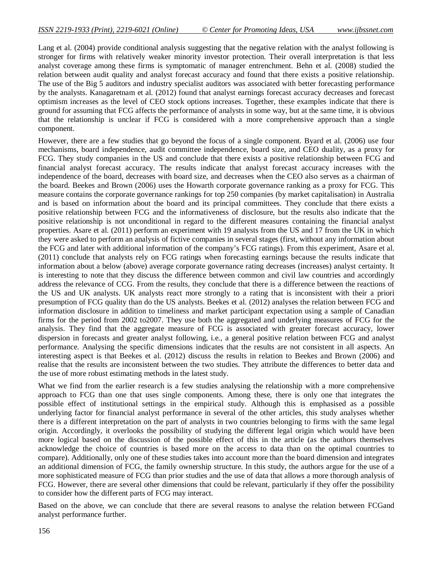Lang et al. (2004) provide conditional analysis suggesting that the negative relation with the analyst following is stronger for firms with relatively weaker minority investor protection. Their overall interpretation is that less analyst coverage among these firms is symptomatic of manager entrenchment. Behn et al. (2008) studied the relation between audit quality and analyst forecast accuracy and found that there exists a positive relationship. The use of the Big 5 auditors and industry specialist auditors was associated with better forecasting performance by the analysts. Kanagaretnam et al. (2012) found that analyst earnings forecast accuracy decreases and forecast optimism increases as the level of CEO stock options increases. Together, these examples indicate that there is ground for assuming that FCG affects the performance of analysts in some way, but at the same time, it is obvious that the relationship is unclear if FCG is considered with a more comprehensive approach than a single component.

However, there are a few studies that go beyond the focus of a single component. Byard et al. (2006) use four mechanisms, board independence, audit committee independence, board size, and CEO duality, as a proxy for FCG. They study companies in the US and conclude that there exists a positive relationship between FCG and financial analyst forecast accuracy. The results indicate that analyst forecast accuracy increases with the independence of the board, decreases with board size, and decreases when the CEO also serves as a chairman of the board. Beekes and Brown (2006) uses the Howarth corporate governance ranking as a proxy for FCG. This measure contains the corporate governance rankings for top 250 companies (by market capitalisation) in Australia and is based on information about the board and its principal committees. They conclude that there exists a positive relationship between FCG and the informativeness of disclosure, but the results also indicate that the positive relationship is not unconditional in regard to the different measures containing the financial analyst properties. Asare et al. (2011) perform an experiment with 19 analysts from the US and 17 from the UK in which they were asked to perform an analysis of fictive companies in several stages (first, without any information about the FCG and later with additional information of the company's FCG ratings). From this experiment, Asare et al. (2011) conclude that analysts rely on FCG ratings when forecasting earnings because the results indicate that information about a below (above) average corporate governance rating decreases (increases) analyst certainty. It is interesting to note that they discuss the difference between common and civil law countries and accordingly address the relevance of CCG. From the results, they conclude that there is a difference between the reactions of the US and UK analysts. UK analysts react more strongly to a rating that is inconsistent with their a priori presumption of FCG quality than do the US analysts. Beekes et al. (2012) analyses the relation between FCG and information disclosure in addition to timeliness and market participant expectation using a sample of Canadian firms for the period from 2002 to2007. They use both the aggregated and underlying measures of FCG for the analysis. They find that the aggregate measure of FCG is associated with greater forecast accuracy, lower dispersion in forecasts and greater analyst following, i.e., a general positive relation between FCG and analyst performance. Analysing the specific dimensions indicates that the results are not consistent in all aspects. An interesting aspect is that Beekes et al. (2012) discuss the results in relation to Beekes and Brown (2006) and realise that the results are inconsistent between the two studies. They attribute the differences to better data and the use of more robust estimating methods in the latest study.

What we find from the earlier research is a few studies analysing the relationship with a more comprehensive approach to FCG than one that uses single components. Among these, there is only one that integrates the possible effect of institutional settings in the empirical study. Although this is emphasised as a possible underlying factor for financial analyst performance in several of the other articles, this study analyses whether there is a different interpretation on the part of analysts in two countries belonging to firms with the same legal origin. Accordingly, it overlooks the possibility of studying the different legal origin which would have been more logical based on the discussion of the possible effect of this in the article (as the authors themselves acknowledge the choice of countries is based more on the access to data than on the optimal countries to compare). Additionally, only one of these studies takes into account more than the board dimension and integrates an additional dimension of FCG, the family ownership structure. In this study, the authors argue for the use of a more sophisticated measure of FCG than prior studies and the use of data that allows a more thorough analysis of FCG. However, there are several other dimensions that could be relevant, particularly if they offer the possibility to consider how the different parts of FCG may interact.

Based on the above, we can conclude that there are several reasons to analyse the relation between FCGand analyst performance further.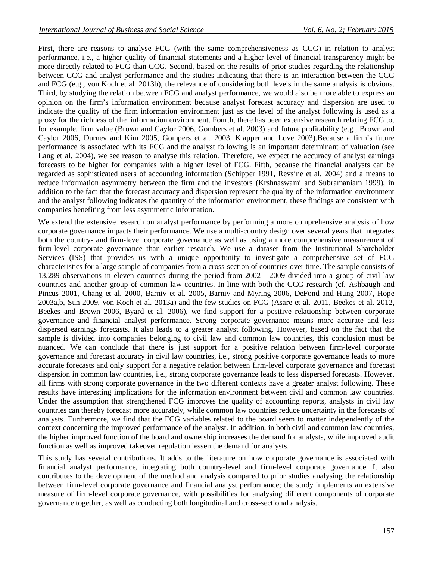First, there are reasons to analyse FCG (with the same comprehensiveness as CCG) in relation to analyst performance, i.e., a higher quality of financial statements and a higher level of financial transparency might be more directly related to FCG than CCG. Second, based on the results of prior studies regarding the relationship between CCG and analyst performance and the studies indicating that there is an interaction between the CCG and FCG (e.g., von Koch et al. 2013b), the relevance of considering both levels in the same analysis is obvious. Third, by studying the relation between FCG and analyst performance, we would also be more able to express an opinion on the firm's information environment because analyst forecast accuracy and dispersion are used to indicate the quality of the firm information environment just as the level of the analyst following is used as a proxy for the richness of the information environment. Fourth, there has been extensive research relating FCG to, for example, firm value (Brown and Caylor 2006, Gombers et al. 2003) and future profitability (e.g., Brown and Caylor 2006, Durnev and Kim 2005, Gompers et al. 2003, Klapper and Love 2003).Because a firm's future performance is associated with its FCG and the analyst following is an important determinant of valuation (see Lang et al. 2004), we see reason to analyse this relation. Therefore, we expect the accuracy of analyst earnings forecasts to be higher for companies with a higher level of FCG. Fifth, because the financial analysts can be regarded as sophisticated users of accounting information (Schipper 1991, Revsine et al. 2004) and a means to reduce information asymmetry between the firm and the investors (Krshnaswami and Subramaniam 1999), in addition to the fact that the forecast accuracy and dispersion represent the quality of the information environment and the analyst following indicates the quantity of the information environment, these findings are consistent with companies benefiting from less asymmetric information.

We extend the extensive research on analyst performance by performing a more comprehensive analysis of how corporate governance impacts their performance. We use a multi-country design over several years that integrates both the country- and firm-level corporate governance as well as using a more comprehensive measurement of firm-level corporate governance than earlier research. We use a dataset from the Institutional Shareholder Services (ISS) that provides us with a unique opportunity to investigate a comprehensive set of FCG characteristics for a large sample of companies from a cross-section of countries over time. The sample consists of 13,289 observations in eleven countries during the period from 2002 - 2009 divided into a group of civil law countries and another group of common law countries. In line with both the CCG research (cf. Ashbaugh and Pincus 2001, Chang et al. 2000, Barniv et al. 2005, Barniv and Myring 2006, DeFond and Hung 2007, Hope 2003a,b, Sun 2009, von Koch et al. 2013a) and the few studies on FCG (Asare et al. 2011, Beekes et al. 2012, Beekes and Brown 2006, Byard et al. 2006), we find support for a positive relationship between corporate governance and financial analyst performance. Strong corporate governance means more accurate and less dispersed earnings forecasts. It also leads to a greater analyst following. However, based on the fact that the sample is divided into companies belonging to civil law and common law countries, this conclusion must be nuanced. We can conclude that there is just support for a positive relation between firm-level corporate governance and forecast accuracy in civil law countries, i.e., strong positive corporate governance leads to more accurate forecasts and only support for a negative relation between firm-level corporate governance and forecast dispersion in common law countries, i.e., strong corporate governance leads to less dispersed forecasts. However, all firms with strong corporate governance in the two different contexts have a greater analyst following. These results have interesting implications for the information environment between civil and common law countries. Under the assumption that strengthened FCG improves the quality of accounting reports, analysts in civil law countries can thereby forecast more accurately, while common law countries reduce uncertainty in the forecasts of analysts. Furthermore, we find that the FCG variables related to the board seem to matter independently of the context concerning the improved performance of the analyst. In addition, in both civil and common law countries, the higher improved function of the board and ownership increases the demand for analysts, while improved audit function as well as improved takeover regulation lessen the demand for analysts.

This study has several contributions. It adds to the literature on how corporate governance is associated with financial analyst performance, integrating both country-level and firm-level corporate governance. It also contributes to the development of the method and analysis compared to prior studies analysing the relationship between firm-level corporate governance and financial analyst performance; the study implements an extensive measure of firm-level corporate governance, with possibilities for analysing different components of corporate governance together, as well as conducting both longitudinal and cross-sectional analysis.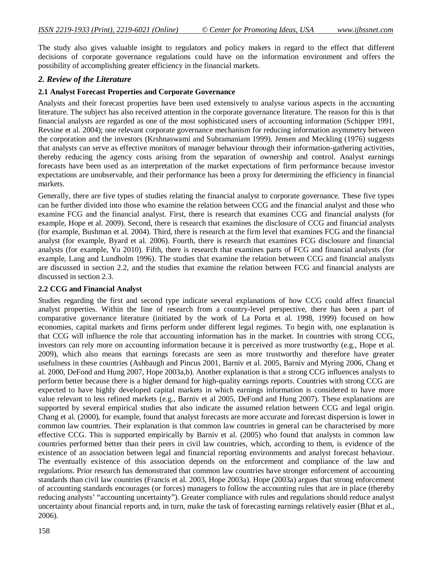The study also gives valuable insight to regulators and policy makers in regard to the effect that different decisions of corporate governance regulations could have on the information environment and offers the possibility of accomplishing greater efficiency in the financial markets.

### *2. Review of the Literature*

### **2.1 Analyst Forecast Properties and Corporate Governance**

Analysts and their forecast properties have been used extensively to analyse various aspects in the accounting literature. The subject has also received attention in the corporate governance literature. The reason for this is that financial analysts are regarded as one of the most sophisticated users of accounting information (Schipper 1991, Revsine et al. 2004); one relevant corporate governance mechanism for reducing information asymmetry between the corporation and the investors (Krshnaswami and Subramaniam 1999). Jensen and Meckling (1976) suggests that analysts can serve as effective monitors of manager behaviour through their information-gathering activities, thereby reducing the agency costs arising from the separation of ownership and control. Analyst earnings forecasts have been used as an interpretation of the market expectations of firm performance because investor expectations are unobservable, and their performance has been a proxy for determining the efficiency in financial markets.

Generally, there are five types of studies relating the financial analyst to corporate governance. These five types can be further divided into those who examine the relation between CCG and the financial analyst and those who examine FCG and the financial analyst. First, there is research that examines CCG and financial analysts (for example, Hope et al. 2009). Second, there is research that examines the disclosure of CCG and financial analysts (for example, Bushman et al. 2004). Third, there is research at the firm level that examines FCG and the financial analyst (for example, Byard et al. 2006). Fourth, there is research that examines FCG disclosure and financial analysts (for example, Yu 2010). Fifth, there is research that examines parts of FCG and financial analysts (for example, Lang and Lundholm 1996). The studies that examine the relation between CCG and financial analysts are discussed in section 2.2, and the studies that examine the relation between FCG and financial analysts are discussed in section 2.3.

### **2.2 CCG and Financial Analyst**

*S*tudies regarding the first and second type indicate several explanations of how CCG could affect financial analyst properties. Within the line of research from a country-level perspective, there has been a part of comparative governance literature (initiated by the work of La Porta et al. 1998, 1999) focused on how economies, capital markets and firms perform under different legal regimes. To begin with, one explanation is that CCG will influence the role that accounting information has in the market. In countries with strong CCG, investors can rely more on accounting information because it is perceived as more trustworthy (e.g., Hope et al. 2009), which also means that earnings forecasts are seen as more trustworthy and therefore have greater usefulness in these countries (Ashbaugh and Pincus 2001, Barniv et al. 2005, Barniv and Myring 2006, Chang et al. 2000, DeFond and Hung 2007, Hope 2003a,b). Another explanation is that a strong CCG influences analysts to perform better because there is a higher demand for high-quality earnings reports. Countries with strong CCG are expected to have highly developed capital markets in which earnings information is considered to have more value relevant to less refined markets (e.g., Barniv et al 2005, DeFond and Hung 2007). These explanations are supported by several empirical studies that also indicate the assumed relation between CCG and legal origin. Chang et al. (2000), for example, found that analyst forecasts are more accurate and forecast dispersion is lower in common law countries. Their explanation is that common law countries in general can be characterised by more effective CCG. This is supported empirically by Barniv et al. (2005) who found that analysts in common law countries performed better than their peers in civil law countries, which, according to them, is evidence of the existence of an association between legal and financial reporting environments and analyst forecast behaviour. The eventually existence of this association depends on the enforcement and compliance of the law and regulations. Prior research has demonstrated that common law countries have stronger enforcement of accounting standards than civil law countries (Francis et al. 2003, Hope 2003a). Hope (2003a) argues that strong enforcement of accounting standards encourages (or forces) managers to follow the accounting rules that are in place (thereby reducing analysts' "accounting uncertainty"). Greater compliance with rules and regulations should reduce analyst uncertainty about financial reports and, in turn, make the task of forecasting earnings relatively easier (Bhat et al., 2006).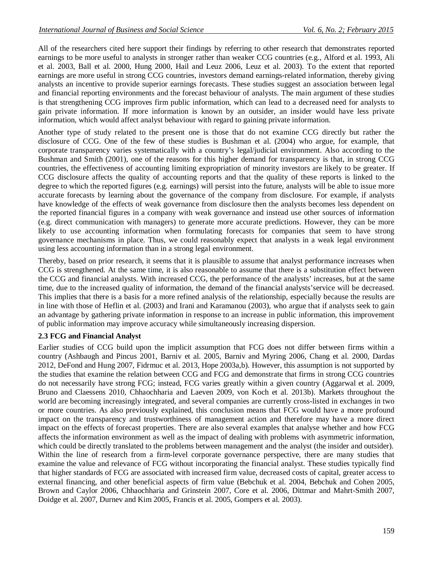All of the researchers cited here support their findings by referring to other research that demonstrates reported earnings to be more useful to analysts in stronger rather than weaker CCG countries (e.g., Alford et al. 1993, Ali et al. 2003, Ball et al. 2000, Hung 2000, Hail and Leuz 2006, Leuz et al. 2003). To the extent that reported earnings are more useful in strong CCG countries, investors demand earnings-related information, thereby giving analysts an incentive to provide superior earnings forecasts. These studies suggest an association between legal and financial reporting environments and the forecast behaviour of analysts. The main argument of these studies is that strengthening CCG improves firm public information, which can lead to a decreased need for analysts to gain private information. If more information is known by an outsider, an insider would have less private information, which would affect analyst behaviour with regard to gaining private information.

Another type of study related to the present one is those that do not examine CCG directly but rather the disclosure of CCG. One of the few of these studies is Bushman et al. (2004) who argue, for example, that corporate transparency varies systematically with a country's legal/judicial environment. Also according to the Bushman and Smith (2001), one of the reasons for this higher demand for transparency is that, in strong CCG countries, the effectiveness of accounting limiting expropriation of minority investors are likely to be greater. If CCG disclosure affects the quality of accounting reports and that the quality of these reports is linked to the degree to which the reported figures (e.g. earnings) will persist into the future, analysts will be able to issue more accurate forecasts by learning about the governance of the company from disclosure. For example, if analysts have knowledge of the effects of weak governance from disclosure then the analysts becomes less dependent on the reported financial figures in a company with weak governance and instead use other sources of information (e.g. direct communication with managers) to generate more accurate predictions. However, they can be more likely to use accounting information when formulating forecasts for companies that seem to have strong governance mechanisms in place. Thus, we could reasonably expect that analysts in a weak legal environment using less accounting information than in a strong legal environment.

Thereby, based on prior research, it seems that it is plausible to assume that analyst performance increases when CCG is strengthened. At the same time, it is also reasonable to assume that there is a substitution effect between the CCG and financial analysts. With increased CCG, the performance of the analysts' increases, but at the same time, due to the increased quality of information, the demand of the financial analysts'service will be decreased. This implies that there is a basis for a more refined analysis of the relationship, especially because the results are in line with those of Heflin et al. (2003) and Irani and Karamanou (2003), who argue that if analysts seek to gain an advantage by gathering private information in response to an increase in public information, this improvement of public information may improve accuracy while simultaneously increasing dispersion.

### **2.3 FCG and Financial Analyst**

Earlier studies of CCG build upon the implicit assumption that FCG does not differ between firms within a country (Ashbaugh and Pincus 2001, Barniv et al. 2005, Barniv and Myring 2006, Chang et al. 2000, Dardas 2012, DeFond and Hung 2007, Fidrmuc et al. 2013, Hope 2003a,b). However, this assumption is not supported by the studies that examine the relation between CCG and FCG and demonstrate that firms in strong CCG countries do not necessarily have strong FCG; instead, FCG varies greatly within a given country (Aggarwal et al. 2009, Bruno and Claessens 2010, Chhaochharia and Laeven 2009, von Koch et al. 2013b). Markets throughout the world are becoming increasingly integrated, and several companies are currently cross-listed in exchanges in two or more countries. As also previously explained, this conclusion means that FCG would have a more profound impact on the transparency and trustworthiness of management action and therefore may have a more direct impact on the effects of forecast properties. There are also several examples that analyse whether and how FCG affects the information environment as well as the impact of dealing with problems with asymmetric information, which could be directly translated to the problems between management and the analyst (the insider and outsider). Within the line of research from a firm-level corporate governance perspective, there are many studies that examine the value and relevance of FCG without incorporating the financial analyst. These studies typically find that higher standards of FCG are associated with increased firm value, decreased costs of capital, greater access to external financing, and other beneficial aspects of firm value (Bebchuk et al. 2004, Bebchuk and Cohen 2005, Brown and Caylor 2006, Chhaochharia and Grinstein 2007, Core et al. 2006, Dittmar and Mahrt-Smith 2007, Doidge et al. 2007, Durnev and Kim 2005, Francis et al. 2005, Gompers et al. 2003).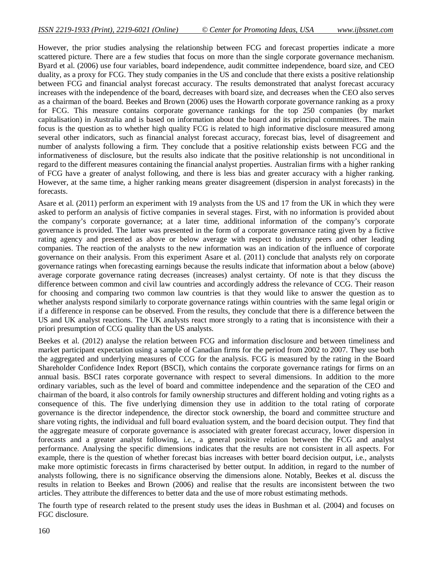However, the prior studies analysing the relationship between FCG and forecast properties indicate a more scattered picture. There are a few studies that focus on more than the single corporate governance mechanism. Byard et al. (2006) use four variables, board independence, audit committee independence, board size, and CEO duality, as a proxy for FCG. They study companies in the US and conclude that there exists a positive relationship between FCG and financial analyst forecast accuracy. The results demonstrated that analyst forecast accuracy increases with the independence of the board, decreases with board size, and decreases when the CEO also serves as a chairman of the board. Beekes and Brown (2006) uses the Howarth corporate governance ranking as a proxy for FCG. This measure contains corporate governance rankings for the top 250 companies (by market capitalisation) in Australia and is based on information about the board and its principal committees. The main focus is the question as to whether high quality FCG is related to high informative disclosure measured among several other indicators, such as financial analyst forecast accuracy, forecast bias, level of disagreement and number of analysts following a firm. They conclude that a positive relationship exists between FCG and the informativeness of disclosure, but the results also indicate that the positive relationship is not unconditional in regard to the different measures containing the financial analyst properties. Australian firms with a higher ranking of FCG have a greater of analyst following, and there is less bias and greater accuracy with a higher ranking. However, at the same time, a higher ranking means greater disagreement (dispersion in analyst forecasts) in the forecasts.

Asare et al. (2011) perform an experiment with 19 analysts from the US and 17 from the UK in which they were asked to perform an analysis of fictive companies in several stages. First, with no information is provided about the company's corporate governance; at a later time, additional information of the company's corporate governance is provided. The latter was presented in the form of a corporate governance rating given by a fictive rating agency and presented as above or below average with respect to industry peers and other leading companies. The reaction of the analysts to the new information was an indication of the influence of corporate governance on their analysis. From this experiment Asare et al. (2011) conclude that analysts rely on corporate governance ratings when forecasting earnings because the results indicate that information about a below (above) average corporate governance rating decreases (increases) analyst certainty. Of note is that they discuss the difference between common and civil law countries and accordingly address the relevance of CCG. Their reason for choosing and comparing two common law countries is that they would like to answer the question as to whether analysts respond similarly to corporate governance ratings within countries with the same legal origin or if a difference in response can be observed. From the results, they conclude that there is a difference between the US and UK analyst reactions. The UK analysts react more strongly to a rating that is inconsistence with their a priori presumption of CCG quality than the US analysts.

Beekes et al. (2012) analyse the relation between FCG and information disclosure and between timeliness and market participant expectation using a sample of Canadian firms for the period from 2002 to 2007. They use both the aggregated and underlying measures of CCG for the analysis. FCG is measured by the rating in the Board Shareholder Confidence Index Report (BSCI), which contains the corporate governance ratings for firms on an annual basis. BSCI rates corporate governance with respect to several dimensions. In addition to the more ordinary variables, such as the level of board and committee independence and the separation of the CEO and chairman of the board, it also controls for family ownership structures and different holding and voting rights as a consequence of this. The five underlying dimension they use in addition to the total rating of corporate governance is the director independence, the director stock ownership, the board and committee structure and share voting rights, the individual and full board evaluation system, and the board decision output. They find that the aggregate measure of corporate governance is associated with greater forecast accuracy, lower dispersion in forecasts and a greater analyst following, i.e., a general positive relation between the FCG and analyst performance. Analysing the specific dimensions indicates that the results are not consistent in all aspects. For example, there is the question of whether forecast bias increases with better board decision output, i.e., analysts make more optimistic forecasts in firms characterised by better output. In addition, in regard to the number of analysts following, there is no significance observing the dimensions alone. Notably, Beekes et al. discuss the results in relation to Beekes and Brown (2006) and realise that the results are inconsistent between the two articles. They attribute the differences to better data and the use of more robust estimating methods.

The fourth type of research related to the present study uses the ideas in Bushman et al. (2004) and focuses on FGC disclosure.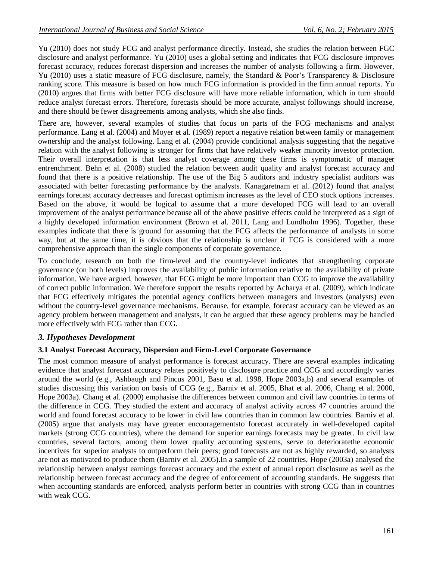Yu (2010) does not study FCG and analyst performance directly. Instead, she studies the relation between FGC disclosure and analyst performance. Yu (2010) uses a global setting and indicates that FCG disclosure improves forecast accuracy, reduces forecast dispersion and increases the number of analysts following a firm. However, Yu (2010) uses a static measure of FCG disclosure, namely, the Standard & Poor's Transparency & Disclosure ranking score. This measure is based on how much FCG information is provided in the firm annual reports. Yu (2010) argues that firms with better FCG disclosure will have more reliable information, which in turn should reduce analyst forecast errors. Therefore, forecasts should be more accurate, analyst followings should increase, and there should be fewer disagreements among analysts, which she also finds.

There are, however, several examples of studies that focus on parts of the FCG mechanisms and analyst performance. Lang et al. (2004) and Moyer et al. (1989) report a negative relation between family or management ownership and the analyst following. Lang et al. (2004) provide conditional analysis suggesting that the negative relation with the analyst following is stronger for firms that have relatively weaker minority investor protection. Their overall interpretation is that less analyst coverage among these firms is symptomatic of manager entrenchment. Behn et al. (2008) studied the relation between audit quality and analyst forecast accuracy and found that there is a positive relationship. The use of the Big 5 auditors and industry specialist auditors was associated with better forecasting performance by the analysts. Kanagaretnam et al. (2012) found that analyst earnings forecast accuracy decreases and forecast optimism increases as the level of CEO stock options increases. Based on the above, it would be logical to assume that a more developed FCG will lead to an overall improvement of the analyst performance because all of the above positive effects could be interpreted as a sign of a highly developed information environment (Brown et al. 2011, Lang and Lundholm 1996). Together, these examples indicate that there is ground for assuming that the FCG affects the performance of analysts in some way, but at the same time, it is obvious that the relationship is unclear if FCG is considered with a more comprehensive approach than the single components of corporate governance.

To conclude, research on both the firm-level and the country-level indicates that strengthening corporate governance (on both levels) improves the availability of public information relative to the availability of private information. We have argued, however, that FCG might be more important than CCG to improve the availability of correct public information. We therefore support the results reported by Acharya et al. (2009), which indicate that FCG effectively mitigates the potential agency conflicts between managers and investors (analysts) even without the country-level governance mechanisms. Because, for example, forecast accuracy can be viewed as an agency problem between management and analysts, it can be argued that these agency problems may be handled more effectively with FCG rather than CCG.

### *3. Hypotheses Development*

### **3.1 Analyst Forecast Accuracy, Dispersion and Firm-Level Corporate Governance**

The most common measure of analyst performance is forecast accuracy. There are several examples indicating evidence that analyst forecast accuracy relates positively to disclosure practice and CCG and accordingly varies around the world (e.g., Ashbaugh and Pincus 2001, Basu et al. 1998, Hope 2003a,b) and several examples of studies discussing this variation on basis of CCG (e.g., Barniv et al. 2005, Bhat et al. 2006, Chang et al. 2000, Hope 2003a). Chang et al. (2000) emphasise the differences between common and civil law countries in terms of the difference in CCG. They studied the extent and accuracy of analyst activity across 47 countries around the world and found forecast accuracy to be lower in civil law countries than in common law countries. Barniv et al. (2005) argue that analysts may have greater encouragementsto forecast accurately in well-developed capital markets (strong CCG countries), where the demand for superior earnings forecasts may be greater. In civil law countries, several factors, among them lower quality accounting systems, serve to deterioratethe economic incentives for superior analysts to outperform their peers; good forecasts are not as highly rewarded, so analysts are not as motivated to produce them (Barniv et al. 2005).In a sample of 22 countries, Hope (2003a) analysed the relationship between analyst earnings forecast accuracy and the extent of annual report disclosure as well as the relationship between forecast accuracy and the degree of enforcement of accounting standards. He suggests that when accounting standards are enforced, analysts perform better in countries with strong CCG than in countries with weak CCG.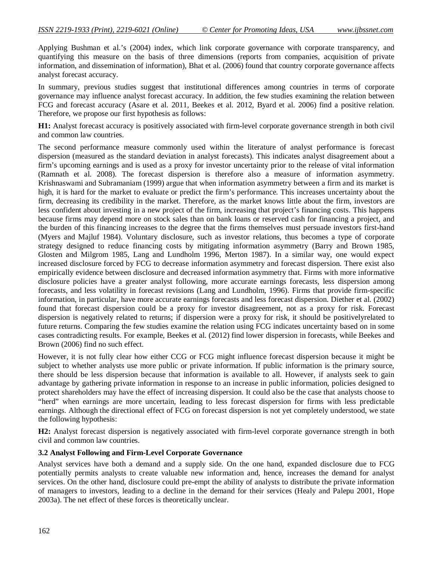Applying Bushman et al.'s (2004) index, which link corporate governance with corporate transparency, and quantifying this measure on the basis of three dimensions (reports from companies, acquisition of private information, and dissemination of information), Bhat et al. (2006) found that country corporate governance affects analyst forecast accuracy.

In summary, previous studies suggest that institutional differences among countries in terms of corporate governance may influence analyst forecast accuracy. In addition, the few studies examining the relation between FCG and forecast accuracy (Asare et al. 2011, Beekes et al. 2012, Byard et al. 2006) find a positive relation. Therefore, we propose our first hypothesis as follows:

**H1:** Analyst forecast accuracy is positively associated with firm-level corporate governance strength in both civil and common law countries.

The second performance measure commonly used within the literature of analyst performance is forecast dispersion (measured as the standard deviation in analyst forecasts). This indicates analyst disagreement about a firm's upcoming earnings and is used as a proxy for investor uncertainty prior to the release of vital information (Ramnath et al. 2008). The forecast dispersion is therefore also a measure of information asymmetry. Krishnaswami and Subramaniam (1999) argue that when information asymmetry between a firm and its market is high, it is hard for the market to evaluate or predict the firm's performance. This increases uncertainty about the firm, decreasing its credibility in the market. Therefore, as the market knows little about the firm, investors are less confident about investing in a new project of the firm, increasing that project's financing costs. This happens because firms may depend more on stock sales than on bank loans or reserved cash for financing a project, and the burden of this financing increases to the degree that the firms themselves must persuade investors first-hand (Myers and Majluf 1984). Voluntary disclosure, such as investor relations, thus becomes a type of corporate strategy designed to reduce financing costs by mitigating information asymmetry (Barry and Brown 1985, Glosten and Milgrom 1985, Lang and Lundholm 1996, Merton 1987). In a similar way, one would expect increased disclosure forced by FCG to decrease information asymmetry and forecast dispersion. There exist also empirically evidence between disclosure and decreased information asymmetry that. Firms with more informative disclosure policies have a greater analyst following, more accurate earnings forecasts, less dispersion among forecasts, and less volatility in forecast revisions (Lang and Lundholm, 1996). Firms that provide firm-specific information, in particular, have more accurate earnings forecasts and less forecast dispersion. Diether et al. (2002) found that forecast dispersion could be a proxy for investor disagreement, not as a proxy for risk. Forecast dispersion is negatively related to returns; if dispersion were a proxy for risk, it should be positivelyrelated to future returns. Comparing the few studies examine the relation using FCG indicates uncertainty based on in some cases contradicting results. For example, Beekes et al. (2012) find lower dispersion in forecasts, while Beekes and Brown (2006) find no such effect.

However, it is not fully clear how either CCG or FCG might influence forecast dispersion because it might be subject to whether analysts use more public or private information. If public information is the primary source, there should be less dispersion because that information is available to all. However, if analysts seek to gain advantage by gathering private information in response to an increase in public information, policies designed to protect shareholders may have the effect of increasing dispersion. It could also be the case that analysts choose to "herd" when earnings are more uncertain, leading to less forecast dispersion for firms with less predictable earnings. Although the directional effect of FCG on forecast dispersion is not yet completely understood, we state the following hypothesis:

**H2:** Analyst forecast dispersion is negatively associated with firm-level corporate governance strength in both civil and common law countries.

### **3.2 Analyst Following and Firm-Level Corporate Governance**

Analyst services have both a demand and a supply side. On the one hand, expanded disclosure due to FCG potentially permits analysts to create valuable new information and, hence, increases the demand for analyst services. On the other hand, disclosure could pre-empt the ability of analysts to distribute the private information of managers to investors, leading to a decline in the demand for their services (Healy and Palepu 2001, Hope 2003a). The net effect of these forces is theoretically unclear.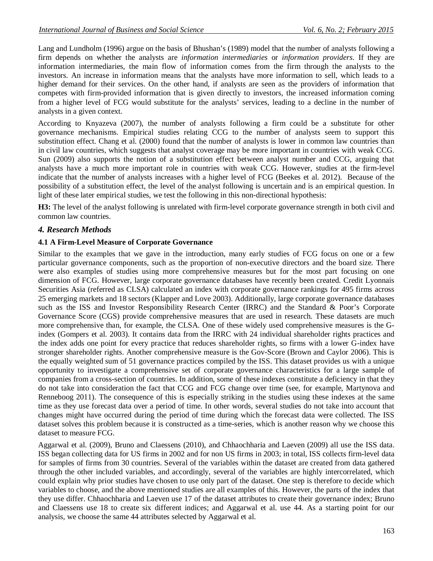Lang and Lundholm (1996) argue on the basis of Bhushan's (1989) model that the number of analysts following a firm depends on whether the analysts are *information intermediaries* or *information providers*. If they are information intermediaries, the main flow of information comes from the firm through the analysts to the investors. An increase in information means that the analysts have more information to sell, which leads to a higher demand for their services. On the other hand, if analysts are seen as the providers of information that competes with firm-provided information that is given directly to investors, the increased information coming from a higher level of FCG would substitute for the analysts' services, leading to a decline in the number of analysts in a given context.

According to Knyazeva (2007), the number of analysts following a firm could be a substitute for other governance mechanisms. Empirical studies relating CCG to the number of analysts seem to support this substitution effect. Chang et al. (2000) found that the number of analysts is lower in common law countries than in civil law countries, which suggests that analyst coverage may be more important in countries with weak CCG. Sun (2009) also supports the notion of a substitution effect between analyst number and CCG, arguing that analysts have a much more important role in countries with weak CCG. However, studies at the firm-level indicate that the number of analysts increases with a higher level of FCG (Beekes et al. 2012). Because of the possibility of a substitution effect, the level of the analyst following is uncertain and is an empirical question. In light of these later empirical studies, we test the following in this non-directional hypothesis:

**H3:** The level of the analyst following is unrelated with firm-level corporate governance strength in both civil and common law countries.

### *4. Research Methods*

### **4.1 A Firm-Level Measure of Corporate Governance**

Similar to the examples that we gave in the introduction, many early studies of FCG focus on one or a few particular governance components, such as the proportion of non-executive directors and the board size. There were also examples of studies using more comprehensive measures but for the most part focusing on one dimension of FCG. However, large corporate governance databases have recently been created. Credit Lyonnais Securities Asia (referred as CLSA) calculated an index with corporate governance rankings for 495 firms across 25 emerging markets and 18 sectors (Klapper and Love 2003). Additionally, large corporate governance databases such as the ISS and Investor Responsibility Research Center (IRRC) and the Standard & Poor's Corporate Governance Score (CGS) provide comprehensive measures that are used in research. These datasets are much more comprehensive than, for example, the CLSA. One of these widely used comprehensive measures is the Gindex (Gompers et al. 2003). It contains data from the IRRC with 24 individual shareholder rights practices and the index adds one point for every practice that reduces shareholder rights, so firms with a lower G-index have stronger shareholder rights. Another comprehensive measure is the Gov-Score (Brown and Caylor 2006). This is the equally weighted sum of 51 governance practices compiled by the ISS. This dataset provides us with a unique opportunity to investigate a comprehensive set of corporate governance characteristics for a large sample of companies from a cross-section of countries. In addition, some of these indexes constitute a deficiency in that they do not take into consideration the fact that CCG and FCG change over time (see, for example, Martynova and Renneboog 2011). The consequence of this is especially striking in the studies using these indexes at the same time as they use forecast data over a period of time. In other words, several studies do not take into account that changes might have occurred during the period of time during which the forecast data were collected. The ISS dataset solves this problem because it is constructed as a time-series, which is another reason why we choose this dataset to measure FCG.

Aggarwal et al. (2009), Bruno and Claessens (2010), and Chhaochharia and Laeven (2009) all use the ISS data. ISS began collecting data for US firms in 2002 and for non US firms in 2003; in total, ISS collects firm-level data for samples of firms from 30 countries. Several of the variables within the dataset are created from data gathered through the other included variables, and accordingly, several of the variables are highly intercorrelated, which could explain why prior studies have chosen to use only part of the dataset. One step is therefore to decide which variables to choose, and the above mentioned studies are all examples of this. However, the parts of the index that they use differ. Chhaochharia and Laeven use 17 of the dataset attributes to create their governance index; Bruno and Claessens use 18 to create six different indices; and Aggarwal et al. use 44. As a starting point for our analysis, we choose the same 44 attributes selected by Aggarwal et al.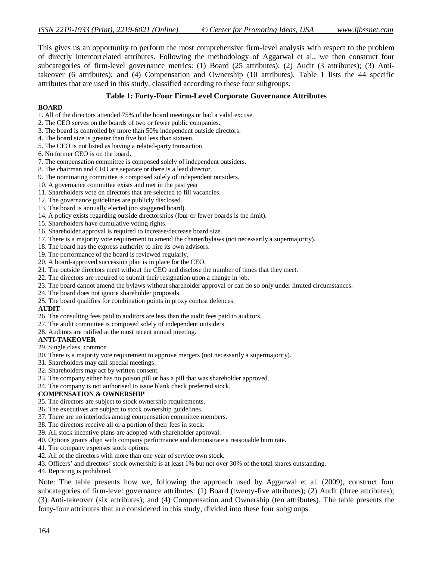This gives us an opportunity to perform the most comprehensive firm-level analysis with respect to the problem of directly intercorrelated attributes. Following the methodology of Aggarwal et al., we then construct four subcategories of firm-level governance metrics: (1) Board (25 attributes); (2) Audit (3 attributes); (3) Antitakeover (6 attributes); and (4) Compensation and Ownership (10 attributes). Table 1 lists the 44 specific attributes that are used in this study, classified according to these four subgroups.

#### **Table 1: Forty-Four Firm-Level Corporate Governance Attributes**

#### **BOARD**

- 1. All of the directors attended 75% of the board meetings or had a valid excuse.
- 2. The CEO serves on the boards of two or fewer public companies.
- 3. The board is controlled by more than 50% independent outside directors.
- 4. The board size is greater than five but less than sixteen.
- 5. The CEO is not listed as having a related-party transaction.
- 6. No former CEO is on the board.
- 7. The compensation committee is composed solely of independent outsiders.
- 8. The chairman and CEO are separate or there is a lead director.
- 9. The nominating committee is composed solely of independent outsiders.
- 10. A governance committee exists and met in the past year
- 11. Shareholders vote on directors that are selected to fill vacancies.
- 12. The governance guidelines are publicly disclosed.
- 13. The board is annually elected (no staggered board).
- 14. A policy exists regarding outside directorships (four or fewer boards is the limit).
- 15. Shareholders have cumulative voting rights.
- 16. Shareholder approval is required to increase/decrease board size.
- 17. There is a majority vote requirement to amend the charter/bylaws (not necessarily a supermajority).
- 18. The board has the express authority to hire its own advisors.
- 19. The performance of the board is reviewed regularly.
- 20. A board-approved succession plan is in place for the CEO.
- 21. The outside directors meet without the CEO and disclose the number of times that they meet.
- 22. The directors are required to submit their resignation upon a change in job.
- 23. The board cannot amend the bylaws without shareholder approval or can do so only under limited circumstances.
- 24. The board does not ignore shareholder proposals.
- 25. The board qualifies for combination points in proxy contest defences.

#### **AUDIT**

- 26. The consulting fees paid to auditors are less than the audit fees paid to auditors.
- 27. The audit committee is composed solely of independent outsiders.
- 28. Auditors are ratified at the most recent annual meeting.

#### **ANTI-TAKEOVER**

- 29. Single class, common
- 30. There is a majority vote requirement to approve mergers (not necessarily a supermajority).
- 31. Shareholders may call special meetings.
- 32. Shareholders may act by written consent.
- 33. The company either has no poison pill or has a pill that was shareholder approved.
- 34. The company is not authorised to issue blank check preferred stock.

#### **COMPENSATION & OWNERSHIP**

- 35. The directors are subject to stock ownership requirements.
- 36. The executives are subject to stock ownership guidelines.
- 37. There are no interlocks among compensation committee members.
- 38. The directors receive all or a portion of their fees in stock.
- 39. All stock incentive plans are adopted with shareholder approval.
- 40. Options grants align with company performance and demonstrate a reasonable burn rate.
- 41. The company expenses stock options.
- 42. All of the directors with more than one year of service own stock.
- 43. Officers' and directors' stock ownership is at least 1% but not over 30% of the total shares outstanding.
- 44. Repricing is prohibited.

Note: The table presents how we, following the approach used by Aggarwal et al. (2009), construct four subcategories of firm-level governance attributes: (1) Board (twenty-five attributes); (2) Audit (three attributes); (3) Anti-takeover (six attributes); and (4) Compensation and Ownership (ten attributes). The table presents the forty-four attributes that are considered in this study, divided into these four subgroups.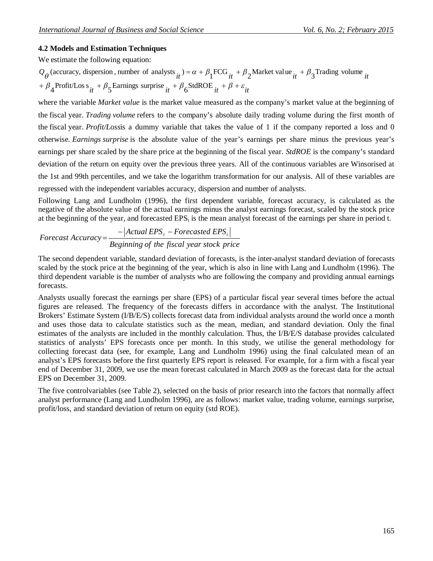### **4.2 Models and Estimation Techniques**

We estimate the following equation:

+  $\beta_4$ Profit/Los s<sub>it</sub> +  $\beta_5$ Earnings surprise <sub>it</sub> +  $\beta_6$ StdROE <sub>it</sub> +  $\beta$  +  $\varepsilon$ <sub>it</sub>  $Q_{\theta}$  (accuracy, dispersion, number of analysts  $_{it}$ ) =  $\alpha + \beta_1$ FCG  $_{it} + \beta_2$ Market value  $_{it} + \beta_3$ Trading volume  $_{it}$ 

where the variable *Market value* is the market value measured as the company's market value at the beginning of the fiscal year. *Trading volume* refers to the company's absolute daily trading volume during the first month of the fiscal year. *Profit/Loss*is a dummy variable that takes the value of 1 if the company reported a loss and 0 otherwise. *Earnings surprise* is the absolute value of the year's earnings per share minus the previous year's earnings per share scaled by the share price at the beginning of the fiscal year. *StdROE* is the company's standard deviation of the return on equity over the previous three years. All of the continuous variables are Winsorised at the 1st and 99th percentiles, and we take the logarithm transformation for our analysis. All of these variables are regressed with the independent variables accuracy, dispersion and number of analysts.

Following Lang and Lundholm (1996), the first dependent variable, forecast accuracy, is calculated as the negative of the absolute value of the actual earnings minus the analyst earnings forecast, scaled by the stock price at the beginning of the year, and forecasted EPS<sub>t</sub> is the mean analyst forecast of the earnings per share in period t.

$$
For ecast Accuracy = \frac{-|Actual EPS_{t} - Forecasted EPS_{t}|}{Beginning of the fiscal year stock price}
$$

The second dependent variable, standard deviation of forecasts, is the inter-analyst standard deviation of forecasts scaled by the stock price at the beginning of the year, which is also in line with Lang and Lundholm (1996). The third dependent variable is the number of analysts who are following the company and providing annual earnings forecasts.

Analysts usually forecast the earnings per share (EPS) of a particular fiscal year several times before the actual figures are released. The frequency of the forecasts differs in accordance with the analyst. The Institutional Brokers' Estimate System (I/B/E/S) collects forecast data from individual analysts around the world once a month and uses those data to calculate statistics such as the mean, median, and standard deviation. Only the final estimates of the analysts are included in the monthly calculation. Thus, the I/B/E/S database provides calculated statistics of analysts' EPS forecasts once per month. In this study, we utilise the general methodology for collecting forecast data (see, for example, Lang and Lundholm 1996) using the final calculated mean of an analyst's EPS forecasts before the first quarterly EPS report is released. For example, for a firm with a fiscal year end of December 31, 2009, we use the mean forecast calculated in March 2009 as the forecast data for the actual EPS on December 31, 2009.

The five controlvariables (see Table 2), selected on the basis of prior research into the factors that normally affect analyst performance (Lang and Lundholm 1996), are as follows: market value, trading volume, earnings surprise, profit/loss, and standard deviation of return on equity (std ROE).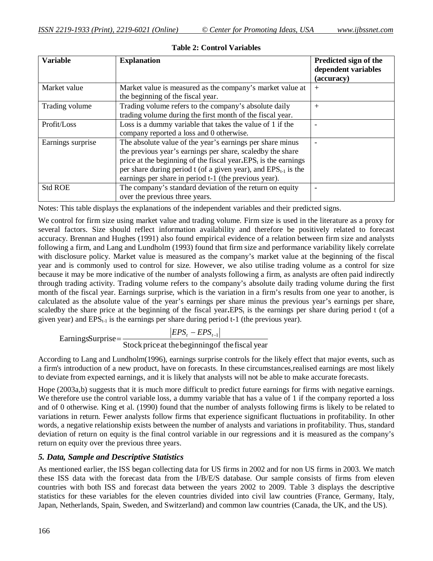| <b>Variable</b>   | <b>Explanation</b>                                                                                                                                                                                                                                                                                                                              | Predicted sign of the<br>dependent variables<br>(accuracy) |
|-------------------|-------------------------------------------------------------------------------------------------------------------------------------------------------------------------------------------------------------------------------------------------------------------------------------------------------------------------------------------------|------------------------------------------------------------|
| Market value      | Market value is measured as the company's market value at<br>the beginning of the fiscal year.                                                                                                                                                                                                                                                  | $+$                                                        |
| Trading volume    | Trading volume refers to the company's absolute daily<br>trading volume during the first month of the fiscal year.                                                                                                                                                                                                                              | $^{+}$                                                     |
| Profit/Loss       | Loss is a dummy variable that takes the value of 1 if the<br>company reported a loss and 0 otherwise.                                                                                                                                                                                                                                           |                                                            |
| Earnings surprise | The absolute value of the year's earnings per share minus<br>the previous year's earnings per share, scaledby the share<br>price at the beginning of the fiscal year. EPS <sub>t</sub> is the earnings<br>per share during period $t$ (of a given year), and EPS <sub>t-1</sub> is the<br>earnings per share in period t-1 (the previous year). |                                                            |
| <b>Std ROE</b>    | The company's standard deviation of the return on equity<br>over the previous three years.                                                                                                                                                                                                                                                      |                                                            |

**Table 2: Control Variables**

Notes: This table displays the explanations of the independent variables and their predicted signs.

We control for firm size using market value and trading volume. Firm size is used in the literature as a proxy for several factors. Size should reflect information availability and therefore be positively related to forecast accuracy. Brennan and Hughes (1991) also found empirical evidence of a relation between firm size and analysts following a firm, and Lang and Lundholm (1993) found that firm size and performance variability likely correlate with disclosure policy. Market value is measured as the company's market value at the beginning of the fiscal year and is commonly used to control for size. However, we also utilise trading volume as a control for size because it may be more indicative of the number of analysts following a firm, as analysts are often paid indirectly through trading activity. Trading volume refers to the company's absolute daily trading volume during the first month of the fiscal year. Earnings surprise, which is the variation in a firm's results from one year to another, is calculated as the absolute value of the year's earnings per share minus the previous year's earnings per share, scaledby the share price at the beginning of the fiscal year. $EPS<sub>t</sub>$  is the earnings per share during period t (of a given year) and  $EPS_{t-1}$  is the earnings per share during period t-1 (the previous year).

EarningSurprise = 
$$
\frac{|EPS_{t} - EPS_{t-1}|}{\text{Stock price at the beginning of the fiscal year}}
$$

According to Lang and Lundholm(1996), earnings surprise controls for the likely effect that major events, such as a firm's introduction of a new product, have on forecasts. In these circumstances,realised earnings are most likely to deviate from expected earnings, and it is likely that analysts will not be able to make accurate forecasts.

Hope (2003a,b) suggests that it is much more difficult to predict future earnings for firms with negative earnings. We therefore use the control variable loss, a dummy variable that has a value of 1 if the company reported a loss and of 0 otherwise. King et al. (1990) found that the number of analysts following firms is likely to be related to variations in return. Fewer analysts follow firms that experience significant fluctuations in profitability. In other words, a negative relationship exists between the number of analysts and variations in profitability. Thus, standard deviation of return on equity is the final control variable in our regressions and it is measured as the company's return on equity over the previous three years.

# *5. Data, Sample and Descriptive Statistics*

As mentioned earlier, the ISS began collecting data for US firms in 2002 and for non US firms in 2003. We match these ISS data with the forecast data from the I/B/E/S database. Our sample consists of firms from eleven countries with both ISS and forecast data between the years 2002 to 2009. Table 3 displays the descriptive statistics for these variables for the eleven countries divided into civil law countries (France, Germany, Italy, Japan, Netherlands, Spain, Sweden, and Switzerland) and common law countries (Canada, the UK, and the US).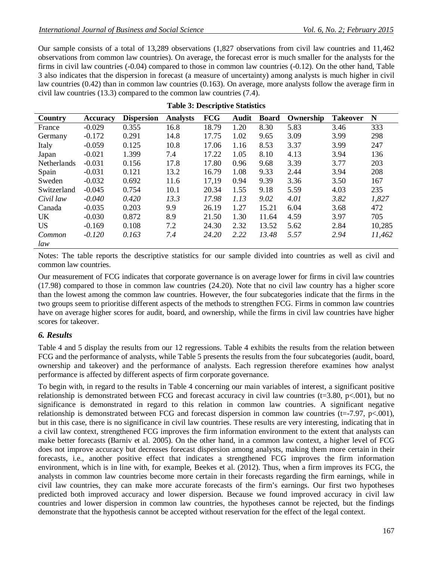Our sample consists of a total of 13,289 observations (1,827 observations from civil law countries and 11,462 observations from common law countries). On average, the forecast error is much smaller for the analysts for the firms in civil law countries (-0.04) compared to those in common law countries (-0.12). On the other hand, Table 3 also indicates that the dispersion in forecast (a measure of uncertainty) among analysts is much higher in civil law countries (0.42) than in common law countries (0.163). On average, more analysts follow the average firm in civil law countries (13.3) compared to the common law countries (7.4).

| Country            | <b>Accuracy</b> | <b>Dispersion</b> | <b>Analysts</b> | <b>FCG</b> | <b>Audit</b> | <b>Board</b> | Ownership | <b>Takeover</b> | N      |
|--------------------|-----------------|-------------------|-----------------|------------|--------------|--------------|-----------|-----------------|--------|
| France             | $-0.029$        | 0.355             | 16.8            | 18.79      | 1.20         | 8.30         | 5.83      | 3.46            | 333    |
| Germany            | $-0.172$        | 0.291             | 14.8            | 17.75      | 1.02         | 9.65         | 3.09      | 3.99            | 298    |
| Italy              | $-0.059$        | 0.125             | 10.8            | 17.06      | 1.16         | 8.53         | 3.37      | 3.99            | 247    |
| Japan              | $-0.021$        | 1.399             | 7.4             | 17.22      | 1.05         | 8.10         | 4.13      | 3.94            | 136    |
| <b>Netherlands</b> | $-0.031$        | 0.156             | 17.8            | 17.80      | 0.96         | 9.68         | 3.39      | 3.77            | 203    |
| Spain              | $-0.031$        | 0.121             | 13.2            | 16.79      | 1.08         | 9.33         | 2.44      | 3.94            | 208    |
| Sweden             | $-0.032$        | 0.692             | 11.6            | 17,19      | 0.94         | 9.39         | 3.36      | 3.50            | 167    |
| Switzerland        | $-0.045$        | 0.754             | 10.1            | 20.34      | 1.55         | 9.18         | 5.59      | 4.03            | 235    |
| Civil law          | $-0.040$        | 0.420             | 13.3            | 17.98      | 1.13         | 9.02         | 4.01      | 3.82            | 1,827  |
| Canada             | $-0.035$        | 0.203             | 9.9             | 26.19      | 1.27         | 15.21        | 6.04      | 3.68            | 472    |
| <b>UK</b>          | $-0.030$        | 0.872             | 8.9             | 21.50      | 1.30         | 11.64        | 4.59      | 3.97            | 705    |
| <b>US</b>          | $-0.169$        | 0.108             | 7.2             | 24.30      | 2.32         | 13.52        | 5.62      | 2.84            | 10,285 |
| Common             | $-0.120$        | 0.163             | 7.4             | 24.20      | 2.22         | 13.48        | 5.57      | 2.94            | 11,462 |
| law                |                 |                   |                 |            |              |              |           |                 |        |

|  | <b>Table 3: Descriptive Statistics</b> |  |
|--|----------------------------------------|--|
|--|----------------------------------------|--|

Notes: The table reports the descriptive statistics for our sample divided into countries as well as civil and common law countries.

Our measurement of FCG indicates that corporate governance is on average lower for firms in civil law countries (17.98) compared to those in common law countries (24.20). Note that no civil law country has a higher score than the lowest among the common law countries. However, the four subcategories indicate that the firms in the two groups seem to prioritise different aspects of the methods to strengthen FCG. Firms in common law countries have on average higher scores for audit, board, and ownership, while the firms in civil law countries have higher scores for takeover.

### *6. Results*

Table 4 and 5 display the results from our 12 regressions. Table 4 exhibits the results from the relation between FCG and the performance of analysts, while Table 5 presents the results from the four subcategories (audit, board, ownership and takeover) and the performance of analysts. Each regression therefore examines how analyst performance is affected by different aspects of firm corporate governance.

To begin with, in regard to the results in Table 4 concerning our main variables of interest, a significant positive relationship is demonstrated between FCG and forecast accuracy in civil law countries ( $t=3.80$ ,  $p<.001$ ), but no significance is demonstrated in regard to this relation in common law countries. A significant negative relationship is demonstrated between FCG and forecast dispersion in common law countries (t=-7.97, p<.001), but in this case, there is no significance in civil law countries. These results are very interesting, indicating that in a civil law context, strengthened FCG improves the firm information environment to the extent that analysts can make better forecasts (Barniv et al. 2005). On the other hand, in a common law context, a higher level of FCG does not improve accuracy but decreases forecast dispersion among analysts, making them more certain in their forecasts, i.e., another positive effect that indicates a strengthened FCG improves the firm information environment, which is in line with, for example, Beekes et al. (2012). Thus, when a firm improves its FCG, the analysts in common law countries become more certain in their forecasts regarding the firm earnings, while in civil law countries, they can make more accurate forecasts of the firm's earnings. Our first two hypotheses predicted both improved accuracy and lower dispersion. Because we found improved accuracy in civil law countries and lower dispersion in common law countries, the hypotheses cannot be rejected, but the findings demonstrate that the hypothesis cannot be accepted without reservation for the effect of the legal context.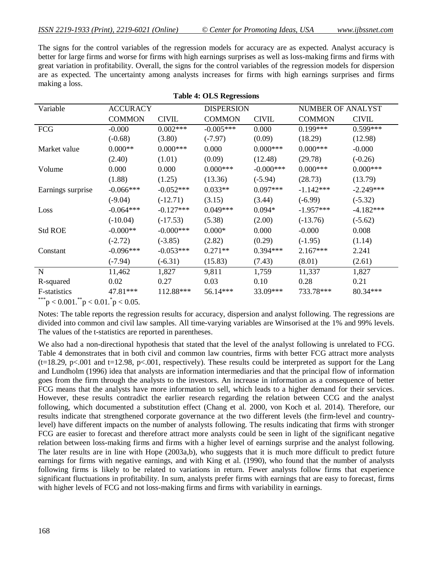The signs for the control variables of the regression models for accuracy are as expected. Analyst accuracy is better for large firms and worse for firms with high earnings surprises as well as loss-making firms and firms with great variation in profitability. Overall, the signs for the control variables of the regression models for dispersion are as expected. The uncertainty among analysts increases for firms with high earnings surprises and firms making a loss.

| Variable                       | <b>ACCURACY</b> |              |               | <b>DISPERSION</b> |               | NUMBER OF ANALYST |  |
|--------------------------------|-----------------|--------------|---------------|-------------------|---------------|-------------------|--|
|                                | <b>COMMON</b>   | <b>CIVIL</b> | <b>COMMON</b> | <b>CIVIL</b>      | <b>COMMON</b> | <b>CIVIL</b>      |  |
| <b>FCG</b>                     | $-0.000$        | $0.002***$   | $-0.005***$   | 0.000             | $0.199***$    | $0.599***$        |  |
|                                | $(-0.68)$       | (3.80)       | $(-7.97)$     | (0.09)            | (18.29)       | (12.98)           |  |
| Market value                   | $0.000**$       | $0.000***$   | 0.000         | $0.000***$        | $0.000***$    | $-0.000$          |  |
|                                | (2.40)          | (1.01)       | (0.09)        | (12.48)           | (29.78)       | $(-0.26)$         |  |
| Volume                         | 0.000           | 0.000        | $0.000***$    | $-0.000***$       | $0.000***$    | $0.000***$        |  |
|                                | (1.88)          | (1.25)       | (13.36)       | $(-5.94)$         | (28.73)       | (13.79)           |  |
| Earnings surprise              | $-0.066***$     | $-0.052***$  | $0.033**$     | $0.097***$        | $-1.142***$   | $-2.249***$       |  |
|                                | $(-9.04)$       | $(-12.71)$   | (3.15)        | (3.44)            | $(-6.99)$     | $(-5.32)$         |  |
| Loss                           | $-0.064***$     | $-0.127***$  | $0.049***$    | $0.094*$          | $-1.957***$   | $-4.182***$       |  |
|                                | $(-10.04)$      | $(-17.53)$   | (5.38)        | (2.00)            | $(-13.76)$    | $(-5.62)$         |  |
| <b>Std ROE</b>                 | $-0.000**$      | $-0.000***$  | $0.000*$      | 0.000             | $-0.000$      | 0.008             |  |
|                                | $(-2.72)$       | $(-3.85)$    | (2.82)        | (0.29)            | $(-1.95)$     | (1.14)            |  |
| Constant                       | $-0.096***$     | $-0.053***$  | $0.271**$     | $0.394***$        | $2.167***$    | 2.241             |  |
|                                | $(-7.94)$       | $(-6.31)$    | (15.83)       | (7.43)            | (8.01)        | (2.61)            |  |
| N                              | 11,462          | 1,827        | 9,811         | 1,759             | 11,337        | 1,827             |  |
| R-squared                      | 0.02            | 0.27         | 0.03          | 0.10              | 0.28          | 0.21              |  |
| F-statistics                   | 47.81***        | 112.88***    | 56.14***      | 33.09***          | 733.78***     | 80.34***          |  |
| *** $0.001$ ** $0.01$ * $0.05$ |                 |              |               |                   |               |                   |  |

|  |  | <b>Table 4: OLS Regressions</b> |
|--|--|---------------------------------|
|--|--|---------------------------------|

\*\*\*p < 0.001.\*\*p < 0.01.\*p < 0.05.

Notes: The table reports the regression results for accuracy, dispersion and analyst following. The regressions are divided into common and civil law samples. All time-varying variables are Winsorised at the 1% and 99% levels. The values of the t-statistics are reported in parentheses.

We also had a non-directional hypothesis that stated that the level of the analyst following is unrelated to FCG. Table 4 demonstrates that in both civil and common law countries, firms with better FCG attract more analysts  $(t=18.29, p<.001$  and  $t=12.98, p<.001$ , respectively). These results could be interpreted as support for the Lang and Lundholm (1996) idea that analysts are information intermediaries and that the principal flow of information goes from the firm through the analysts to the investors. An increase in information as a consequence of better FCG means that the analysts have more information to sell, which leads to a higher demand for their services. However, these results contradict the earlier research regarding the relation between CCG and the analyst following, which documented a substitution effect (Chang et al. 2000, von Koch et al. 2014). Therefore, our results indicate that strengthened corporate governance at the two different levels (the firm-level and countrylevel) have different impacts on the number of analysts following. The results indicating that firms with stronger FCG are easier to forecast and therefore attract more analysts could be seen in light of the significant negative relation between loss-making firms and firms with a higher level of earnings surprise and the analyst following. The later results are in line with Hope (2003a,b), who suggests that it is much more difficult to predict future earnings for firms with negative earnings, and with King et al. (1990), who found that the number of analysts following firms is likely to be related to variations in return. Fewer analysts follow firms that experience significant fluctuations in profitability. In sum, analysts prefer firms with earnings that are easy to forecast, firms with higher levels of FCG and not loss-making firms and firms with variability in earnings.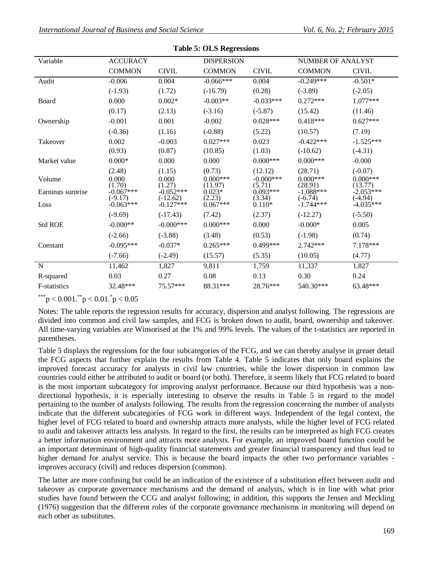| Variable                            | <b>ACCURACY</b>                                                      |                                                                       | <b>DISPERSION</b>                                                   |                                                                       | NUMBER OF ANALYST                                                           |                                                                               |
|-------------------------------------|----------------------------------------------------------------------|-----------------------------------------------------------------------|---------------------------------------------------------------------|-----------------------------------------------------------------------|-----------------------------------------------------------------------------|-------------------------------------------------------------------------------|
|                                     | <b>COMMON</b>                                                        | <b>CIVIL</b>                                                          | <b>COMMON</b>                                                       | <b>CIVIL</b>                                                          | <b>COMMON</b>                                                               | <b>CIVIL</b>                                                                  |
| Audit                               | $-0.006$                                                             | 0.004                                                                 | $-0.066***$                                                         | 0.004                                                                 | $-0.249***$                                                                 | $-0.501*$                                                                     |
|                                     | $(-1.93)$                                                            | (1.72)                                                                | $(-16.79)$                                                          | (0.28)                                                                | $(-3.89)$                                                                   | $(-2.05)$                                                                     |
| Board                               | 0.000                                                                | $0.002*$                                                              | $-0.003**$                                                          | $-0.033***$                                                           | $0.272***$                                                                  | $1.077***$                                                                    |
|                                     | (0.17)                                                               | (2.13)                                                                | $(-3.16)$                                                           | $(-5.87)$                                                             | (15.42)                                                                     | (11.46)                                                                       |
| Ownership                           | $-0.001$                                                             | 0.001                                                                 | $-0.002$                                                            | $0.028***$                                                            | $0.418***$                                                                  | $0.627***$                                                                    |
|                                     | $(-0.36)$                                                            | (1.16)                                                                | $(-0.88)$                                                           | (5.22)                                                                | (10.57)                                                                     | (7.19)                                                                        |
| Takeover                            | 0.002                                                                | $-0.003$                                                              | $0.027***$                                                          | 0.023                                                                 | $-0.422***$                                                                 | $-1.525***$                                                                   |
|                                     | (0.93)                                                               | (0.87)                                                                | (10.85)                                                             | (1.03)                                                                | $(-10.62)$                                                                  | $(-4.31)$                                                                     |
| Market value                        | $0.000*$                                                             | 0.000                                                                 | 0.000                                                               | $0.000***$                                                            | $0.000$ ***                                                                 | $-0.000$                                                                      |
| Volume<br>Earnings surprise<br>Loss | (2.48)<br>0.000<br>(1.70)<br>$-0.067***$<br>$(-9.17)$<br>$-0.063***$ | (1.15)<br>0.000<br>(1.27)<br>$-0.052***$<br>$(-12.62)$<br>$-0.127***$ | (0.73)<br>$0.000***$<br>(11.97)<br>$0.023*$<br>(2.23)<br>$0.067***$ | (12.12)<br>$-0.000$ ***<br>(5.71)<br>$0.093***$<br>(3.34)<br>$0.110*$ | (28.71)<br>$0.000***$<br>(28.91)<br>$-1.088***$<br>$(-6.74)$<br>$-1.744***$ | $(-0.07)$<br>$0.000***$<br>(13.77)<br>$-2.053***$<br>$(-4.94)$<br>$-4.035***$ |
|                                     | $(-9.69)$                                                            | $(-17.43)$                                                            | (7.42)                                                              | (2.37)                                                                | $(-12.27)$                                                                  | $(-5.50)$                                                                     |
| <b>Std ROE</b>                      | $-0.000**$                                                           | $-0.000$ ***                                                          | $0.000***$                                                          | 0.000                                                                 | $-0.000*$                                                                   | 0.005                                                                         |
|                                     | $(-2.66)$                                                            | $(-3.88)$                                                             | (3.48)                                                              | (0.53)                                                                | $(-1.98)$                                                                   | (0.74)                                                                        |
| Constant                            | $-0.095***$                                                          | $-0.037*$                                                             | $0.265***$                                                          | $0.499***$                                                            | $2.742***$                                                                  | 7.178***                                                                      |
|                                     | $(-7.66)$                                                            | $(-2.49)$                                                             | (15.57)                                                             | (5.35)                                                                | (10.05)                                                                     | (4.77)                                                                        |
| $\mathbf N$                         | 11,462                                                               | 1,827                                                                 | 9,811                                                               | 1,759                                                                 | 11,337                                                                      | 1,827                                                                         |
| R-squared                           | 0.03                                                                 | 0.27                                                                  | 0.08                                                                | 0.13                                                                  | 0.30                                                                        | 0.24                                                                          |
| F-statistics                        | 32.48***                                                             | 75.57***                                                              | 88.31***                                                            | 28.76***                                                              | 540.30***                                                                   | 63.48***                                                                      |

**Table 5: OLS Regressions**

\*\*\*p < 0.001.\*\*p < 0.01.\*p < 0.05

Notes: The table reports the regression results for accuracy, dispersion and analyst following. The regressions are divided into common and civil law samples, and FCG is broken down to audit, board, ownership and takeover. All time-varying variables are Winsorised at the 1% and 99% levels. The values of the t-statistics are reported in parentheses.

Table 5 displays the regressions for the four subcategories of the FCG, and we can thereby analyse in greaer detail the FCG aspects that further explain the results from Table 4. Table 5 indicates that only board explains the improved forecast accuracy for analysts in civil law countries, while the lower dispersion in common law countries could either be attributed to audit or board (or both). Therefore, it seems likely that FCG related to board is the most important subcategory for improving analyst performance. Because our third hypothesis was a nondirectional hypothesis, it is especially interesting to observe the results in Table 5 in regard to the model pertaining to the number of analysts following. The results from the regression concerning the number of analysts indicate that the different subcategories of FCG work in different ways. Independent of the legal context, the higher level of FCG related to board and ownership attracts more analysts, while the higher level of FCG related to audit and takeover attracts less analysts. In regard to the first, the results can be interpreted as high FCG creates a better information environment and attracts more analysts. For example, an improved board function could be an important determinant of high-quality financial statements and greater financial transparency and thus lead to higher demand for analyst service. This is because the board impacts the other two performance variables improves accuracy (civil) and reduces dispersion (common).

The latter are more confusing but could be an indication of the existence of a substitution effect between audit and takeover as corporate governance mechanisms and the demand of analysts, which is in line with what prior studies have found between the CCG and analyst following; in addition, this supports the Jensen and Meckling (1976) suggestion that the different roles of the corporate governance mechanisms in monitoring will depend on each other as substitutes.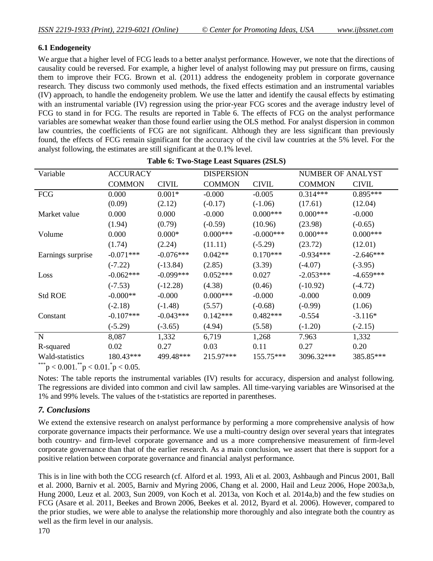### **6.1 Endogeneity**

We argue that a higher level of FCG leads to a better analyst performance. However, we note that the directions of causality could be reversed. For example, a higher level of analyst following may put pressure on firms, causing them to improve their FCG. Brown et al. (2011) address the endogeneity problem in corporate governance research. They discuss two commonly used methods, the fixed effects estimation and an instrumental variables (IV) approach, to handle the endogeneity problem. We use the latter and identify the causal effects by estimating with an instrumental variable (IV) regression using the prior-year FCG scores and the average industry level of FCG to stand in for FCG. The results are reported in Table 6. The effects of FCG on the analyst performance variables are somewhat weaker than those found earlier using the OLS method. For analyst dispersion in common law countries, the coefficients of FCG are not significant. Although they are less significant than previously found, the effects of FCG remain significant for the accuracy of the civil law countries at the 5% level. For the analyst following, the estimates are still significant at the 0.1% level.

| Variable          | <b>ACCURACY</b> |              | <b>DISPERSION</b> |              | <b>NUMBER OF ANALYST</b> |              |
|-------------------|-----------------|--------------|-------------------|--------------|--------------------------|--------------|
|                   | <b>COMMON</b>   | <b>CIVIL</b> | <b>COMMON</b>     | <b>CIVIL</b> | <b>COMMON</b>            | <b>CIVIL</b> |
| FCG               | 0.000           | $0.001*$     | $-0.000$          | $-0.005$     | $0.314***$               | $0.895***$   |
|                   | (0.09)          | (2.12)       | $(-0.17)$         | $(-1.06)$    | (17.61)                  | (12.04)      |
| Market value      | 0.000           | 0.000        | $-0.000$          | $0.000***$   | $0.000***$               | $-0.000$     |
|                   | (1.94)          | (0.79)       | $(-0.59)$         | (10.96)      | (23.98)                  | $(-0.65)$    |
| Volume            | 0.000           | $0.000*$     | $0.000***$        | $-0.000$ *** | $0.000***$               | $0.000***$   |
|                   | (1.74)          | (2.24)       | (11.11)           | $(-5.29)$    | (23.72)                  | (12.01)      |
| Earnings surprise | $-0.071***$     | $-0.076***$  | $0.042**$         | $0.170***$   | $-0.934***$              | $-2.646***$  |
|                   | $(-7.22)$       | $(-13.84)$   | (2.85)            | (3.39)       | $(-4.07)$                | $(-3.95)$    |
| Loss              | $-0.062***$     | $-0.099***$  | $0.052***$        | 0.027        | $-2.053***$              | $-4.659***$  |
|                   | $(-7.53)$       | $(-12.28)$   | (4.38)            | (0.46)       | $(-10.92)$               | $(-4.72)$    |
| <b>Std ROE</b>    | $-0.000**$      | $-0.000$     | $0.000$ ***       | $-0.000$     | $-0.000$                 | 0.009        |
|                   | $(-2.18)$       | $(-1.48)$    | (5.57)            | $(-0.68)$    | $(-0.99)$                | (1.06)       |
| Constant          | $-0.107***$     | $-0.043***$  | $0.142***$        | $0.482***$   | $-0.554$                 | $-3.116*$    |
|                   | $(-5.29)$       | $(-3.65)$    | (4.94)            | (5.58)       | $(-1.20)$                | $(-2.15)$    |
| N                 | 8,087           | 1,332        | 6,719             | 1,268        | 7.963                    | 1,332        |
| R-squared         | 0.02            | 0.27         | 0.03              | 0.11         | 0.27                     | 0.20         |
| Wald-statistics   | 180.43***       | 499.48***    | 215.97***         | 155.75***    | 3096.32***               | 385.85***    |
|                   |                 |              |                   |              |                          |              |

| Table 6: Two-Stage Least Squares (2SLS) |  |  |  |  |
|-----------------------------------------|--|--|--|--|
|-----------------------------------------|--|--|--|--|

\*\*\*p < 0.001.\*\*p < 0.01.\*p < 0.05.

Notes: The table reports the instrumental variables (IV) results for accuracy, dispersion and analyst following. The regressions are divided into common and civil law samples. All time-varying variables are Winsorised at the 1% and 99% levels. The values of the t-statistics are reported in parentheses.

### *7. Conclusions*

We extend the extensive research on analyst performance by performing a more comprehensive analysis of how corporate governance impacts their performance. We use a multi-country design over several years that integrates both country- and firm-level corporate governance and us a more comprehensive measurement of firm-level corporate governance than that of the earlier research. As a main conclusion, we assert that there is support for a positive relation between corporate governance and financial analyst performance.

This is in line with both the CCG research (cf. Alford et al. 1993, Ali et al. 2003, Ashbaugh and Pincus 2001, Ball et al. 2000, Barniv et al. 2005, Barniv and Myring 2006, Chang et al. 2000, Hail and Leuz 2006, Hope 2003a,b, Hung 2000, Leuz et al. 2003, Sun 2009, von Koch et al. 2013a, von Koch et al. 2014a,b) and the few studies on FCG (Asare et al. 2011, Beekes and Brown 2006, Beekes et al. 2012, Byard et al. 2006). However, compared to the prior studies, we were able to analyse the relationship more thoroughly and also integrate both the country as well as the firm level in our analysis.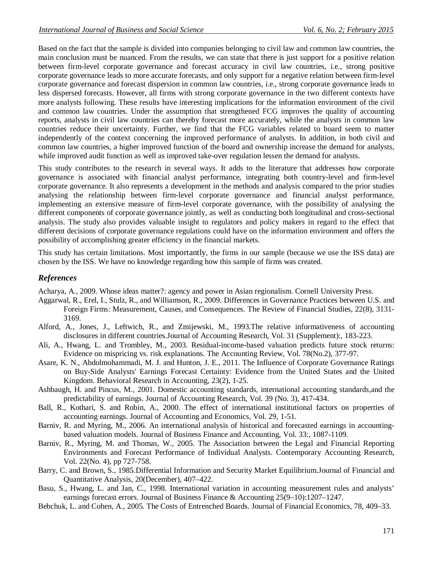Based on the fact that the sample is divided into companies belonging to civil law and common law countries, the main conclusion must be nuanced. From the results, we can state that there is just support for a positive relation between firm-level corporate governance and forecast accuracy in civil law countries, i.e., strong positive corporate governance leads to more accurate forecasts, and only support for a negative relation between firm-level corporate governance and forecast dispersion in common law countries, i.e., strong corporate governance leads to less dispersed forecasts. However, all firms with strong corporate governance in the two different contexts have more analysts following. These results have interesting implications for the information environment of the civil and common law countries. Under the assumption that strengthened FCG improves the quality of accounting reports, analysts in civil law countries can thereby forecast more accurately, while the analysts in common law countries reduce their uncertainty. Further, we find that the FCG variables related to board seem to matter independently of the context concerning the improved performance of analysts. In addition, in both civil and common law countries, a higher improved function of the board and ownership increase the demand for analysts, while improved audit function as well as improved take-over regulation lessen the demand for analysts.

This study contributes to the research in several ways. It adds to the literature that addresses how corporate governance is associated with financial analyst performance, integrating both country-level and firm-level corporate governance. It also represents a development in the methods and analysis compared to the prior studies analysing the relationship between firm-level corporate governance and financial analyst performance, implementing an extensive measure of firm-level corporate governance, with the possibility of analysing the different components of corporate governance jointly, as well as conducting both longitudinal and cross-sectional analysis. The study also provides valuable insight to regulators and policy makers in regard to the effect that different decisions of corporate governance regulations could have on the information environment and offers the possibility of accomplishing greater efficiency in the financial markets.

This study has certain limitations. Most importantly, the firms in our sample (because we use the ISS data) are chosen by the ISS. We have no knowledge regarding how this sample of firms was created.

# *References*

Acharya, A., 2009. Whose ideas matter?: agency and power in Asian regionalism. Cornell University Press.

- Aggarwal, R., Erel, I., Stulz, R., and Williamson, R., 2009. Differences in Governance Practices between U.S. and Foreign Firms: Measurement, Causes, and Consequences. The Review of Financial Studies, 22(8), 3131- 3169.
- Alford, A., Jones, J., Leftwich, R., and Zmijewski, M., 1993.The relative informativeness of accounting disclosures in different countries.Journal of Accounting Research, Vol. 31 (Supplement):, 183-223.
- Ali, A., Hwang, L. and Trombley, M., 2003. Residual-income-based valuation predicts future stock returns: Evidence on mispricing vs. risk explanations. The Accounting Review, Vol. 78(No.2), 377-97.
- Asare, K. N., Abdolmohammadi, M. J. and Hunton, J. E., 2011. The Influence of Corporate Governance Ratings on Buy-Side Analysts' Earnings Forecast Certainty: Evidence from the United States and the United Kingdom. Behavioral Research in Accounting, 23(2), 1-25.
- Ashbaugh, H. and Pincus, M., 2001. Domestic accounting standards, international accounting standards,and the predictability of earnings. Journal of Accounting Research, Vol. 39 (No. 3), 417-434.
- Ball, R., Kothari, S. and Robin, A., 2000. The effect of international institutional factors on properties of accounting earnings. Journal of Accounting and Economics, Vol. 29, 1-51.
- Barniv, R. and Myring, M., 2006. An international analysis of historical and forecasted earnings in accountingbased valuation models. Journal of Business Finance and Accounting, Vol. 33:, 1087-1109.
- Barniv, R., Myring, M. and Thomas, W., 2005. The Association between the Legal and Financial Reporting Environments and Forecast Performance of Individual Analysts. Contemporary Accounting Research, Vol. 22(No. 4), pp 727-758.
- Barry, C. and Brown, S., 1985.Differential Information and Security Market Equilibrium.Journal of Financial and Quantitative Analysis, 20(December), 407–422.
- Basu, S., Hwang, L. and Jan, C., 1998. International variation in accounting measurement rules and analysts' earnings forecast errors. Journal of Business Finance & Accounting 25(9–10):1207–1247.
- Bebchuk, L. and Cohen, A., 2005. The Costs of Entrenched Boards. Journal of Financial Economics, 78, 409–33.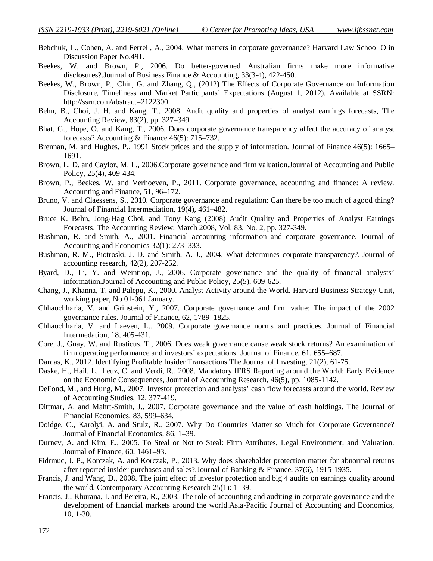- Bebchuk, L., Cohen, A. and Ferrell, A., 2004. What matters in corporate governance? Harvard Law School Olin Discussion Paper No.491.
- Beekes, W. and Brown, P., 2006. Do better‐governed Australian firms make more informative disclosures?.Journal of Business Finance & Accounting, 33(3‐4), 422-450.
- Beekes, W., Brown, P., Chin, G. and Zhang, Q., (2012) The Effects of Corporate Governance on Information Disclosure, Timeliness and Market Participants' Expectations (August 1, 2012). Available at SSRN: http://ssrn.com/abstract=2122300.
- Behn, B., Choi, J. H. and Kang, T., 2008. Audit quality and properties of analyst earnings forecasts, The Accounting Review, 83(2), pp. 327–349.
- Bhat, G., Hope, O. and Kang, T., 2006. Does corporate governance transparency affect the accuracy of analyst forecasts? Accounting & Finance 46(5): 715–732.
- Brennan, M. and Hughes, P., 1991 Stock prices and the supply of information. Journal of Finance 46(5): 1665– 1691.
- Brown, L. D. and Caylor, M. L., 2006.Corporate governance and firm valuation.Journal of Accounting and Public Policy, 25(4), 409-434.
- Brown, P., Beekes, W. and Verhoeven, P., 2011. Corporate governance, accounting and finance: A review. Accounting and Finance, 51, 96–172.
- Bruno, V. and Claessens, S., 2010. Corporate governance and regulation: Can there be too much of agood thing? Journal of Financial Intermediation, 19(4), 461–482.
- Bruce K. Behn, Jong-Hag Choi, and Tony Kang (2008) Audit Quality and Properties of Analyst Earnings Forecasts. The Accounting Review: March 2008, Vol. 83, No. 2, pp. 327-349.
- Bushman, R. and Smith, A., 2001. Financial accounting information and corporate governance. Journal of Accounting and Economics 32(1): 273–333.
- Bushman, R. M., Piotroski, J. D. and Smith, A. J., 2004. What determines corporate transparency?. Journal of accounting research, 42(2), 207-252.
- Byard, D., Li, Y. and Weintrop, J., 2006. Corporate governance and the quality of financial analysts' information.Journal of Accounting and Public Policy, 25(5), 609-625.
- Chang, J., Khanna, T. and Palepu, K., 2000. Analyst Activity around the World. Harvard Business Strategy Unit, working paper, No 01-061 January.
- Chhaochharia, V. and Grinstein, Y., 2007. Corporate governance and firm value: The impact of the 2002 governance rules. Journal of Finance, 62, 1789–1825.
- Chhaochharia, V. and Laeven, L., 2009. Corporate governance norms and practices. Journal of Financial Intermedation, 18, 405-431.
- Core, J., Guay, W. and Rusticus, T., 2006. Does weak governance cause weak stock returns? An examination of firm operating performance and investors' expectations. Journal of Finance, 61, 655–687.
- Dardas, K., 2012. Identifying Profitable Insider Transactions.The Journal of Investing, 21(2), 61-75.
- Daske, H., Hail, L., Leuz, C. and Verdi, R., 2008. Mandatory IFRS Reporting around the World: Early Evidence on the Economic Consequences, Journal of Accounting Research, 46(5), pp. 1085-1142.
- DeFond, M., and Hung, M., 2007. Investor protection and analysts' cash flow forecasts around the world. Review of Accounting Studies, 12, 377-419.
- Dittmar, A. and Mahrt-Smith, J., 2007. Corporate governance and the value of cash holdings. The Journal of Financial Economics, 83, 599–634.
- Doidge, C., Karolyi, A. and Stulz, R., 2007. Why Do Countries Matter so Much for Corporate Governance? Journal of Financial Economics, 86, 1–39.
- Durnev, A. and Kim, E., 2005. To Steal or Not to Steal: Firm Attributes, Legal Environment, and Valuation. Journal of Finance, 60, 1461–93.
- Fidrmuc, J. P., Korczak, A. and Korczak, P., 2013. Why does shareholder protection matter for abnormal returns after reported insider purchases and sales?.Journal of Banking & Finance, 37(6), 1915-1935.
- Francis, J. and Wang, D., 2008. The joint effect of investor protection and big 4 audits on earnings quality around the world. Contemporary Accounting Research 25(1): 1–39.
- Francis, J., Khurana, I. and Pereira, R., 2003. The role of accounting and auditing in corporate governance and the development of financial markets around the world.Asia-Pacific Journal of Accounting and Economics, 10, 1-30.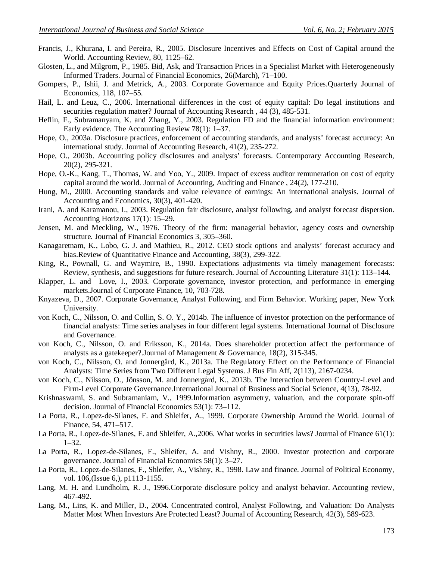- Francis, J., Khurana, I. and Pereira, R., 2005. Disclosure Incentives and Effects on Cost of Capital around the World. Accounting Review, 80, 1125–62.
- Glosten, L., and Milgrom, P., 1985. Bid, Ask, and Transaction Prices in a Specialist Market with Heterogeneously Informed Traders. Journal of Financial Economics, 26(March), 71–100.
- Gompers, P., Ishii, J. and Metrick, A., 2003. Corporate Governance and Equity Prices.Quarterly Journal of Economics, 118, 107–55.
- Hail, L. and Leuz, C., 2006. International differences in the cost of equity capital: Do legal institutions and securities regulation matter? Journal of Accounting Research, 44 (3), 485-531.
- Heflin, F., Subramanyam, K. and Zhang, Y., 2003. Regulation FD and the financial information environment: Early evidence. The Accounting Review 78(1): 1–37.
- Hope, O., 2003a. Disclosure practices, enforcement of accounting standards, and analysts' forecast accuracy: An international study. Journal of Accounting Research, 41(2), 235-272.
- Hope, O., 2003b. Accounting policy disclosures and analysts' forecasts. Contemporary Accounting Research, 20(2), 295-321.
- Hope, O.-K., Kang, T., Thomas, W. and Yoo, Y., 2009. Impact of excess auditor remuneration on cost of equity capital around the world. Journal of Accounting, Auditing and Finance , 24(2), 177-210.
- Hung, M., 2000. Accounting standards and value relevance of earnings: An international analysis. Journal of Accounting and Economics, 30(3), 401-420.
- Irani, A. and Karamanou, I., 2003. Regulation fair disclosure, analyst following, and analyst forecast dispersion. Accounting Horizons 17(1): 15–29.
- Jensen, M. and Meckling, W., 1976. Theory of the firm: managerial behavior, agency costs and ownership structure. Journal of Financial Economics 3, 305–360.
- Kanagaretnam, K., Lobo, G. J. and Mathieu, R., 2012. CEO stock options and analysts' forecast accuracy and bias.Review of Quantitative Finance and Accounting, 38(3), 299-322.
- King, R., Pownall, G. and Waymire, B., 1990. Expectations adjustments via timely management forecasts: Review, synthesis, and suggestions for future research. Journal of Accounting Literature 31(1): 113–144.
- Klapper, L. and Love, I., 2003. Corporate governance, investor protection, and performance in emerging markets.Journal of Corporate Finance, 10, 703-728.
- Knyazeva, D., 2007. Corporate Governance, Analyst Following, and Firm Behavior. Working paper, New York University.
- von Koch, C., Nilsson, O. and Collin, S. O. Y., 2014b. The influence of investor protection on the performance of financial analysts: Time series analyses in four different legal systems. International Journal of Disclosure and Governance.
- von Koch, C., Nilsson, O. and Eriksson, K., 2014a. Does shareholder protection affect the performance of analysts as a gatekeeper?.Journal of Management & Governance, 18(2), 315-345.
- von Koch, C., Nilsson, O. and Jonnergård, K., 2013a. The Regulatory Effect on the Performance of Financial Analysts: Time Series from Two Different Legal Systems. J Bus Fin Aff, 2(113), 2167-0234.
- von Koch, C., Nilsson, O., Jönsson, M. and Jonnergård, K., 2013b. The Interaction between Country-Level and Firm-Level Corporate Governance.International Journal of Business and Social Science, 4(13), 78-92.
- Krishnaswami, S. and Subramaniam, V., 1999.Information asymmetry, valuation, and the corporate spin-off decision. Journal of Financial Economics 53(1): 73–112.
- La Porta, R., Lopez-de-Silanes, F. and Shleifer, A., 1999. Corporate Ownership Around the World. Journal of Finance, 54, 471–517.
- La Porta, R., Lopez-de-Silanes, F. and Shleifer, A.,2006. What works in securities laws? Journal of Finance 61(1): 1–32.
- La Porta, R., Lopez-de-Silanes, F., Shleifer, A. and Vishny, R., 2000. Investor protection and corporate governance. Journal of Financial Economics 58(1): 3–27.
- La Porta, R., Lopez-de-Silanes, F., Shleifer, A., Vishny, R., 1998. Law and finance. Journal of Political Economy, vol. 106,(Issue 6,), p1113-1155.
- Lang, M. H. and Lundholm, R. J., 1996.Corporate disclosure policy and analyst behavior. Accounting review, 467-492.
- Lang, M., Lins, K. and Miller, D., 2004. Concentrated control, Analyst Following, and Valuation: Do Analysts Matter Most When Investors Are Protected Least? Journal of Accounting Research, 42(3), 589-623.